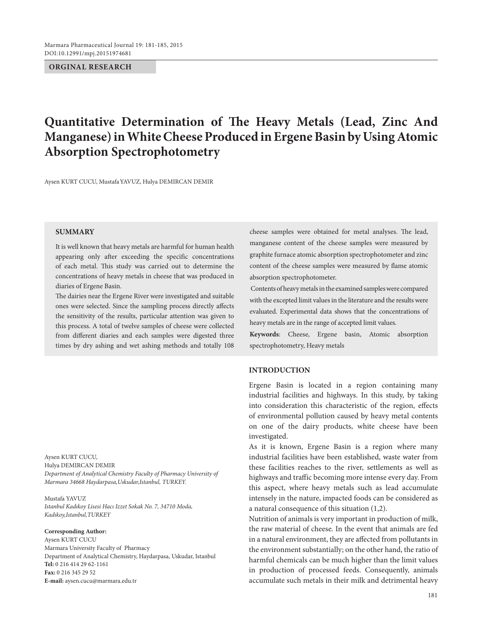## **ORGINAL RESEARCH**

# **Quantitative Determination of The Heavy Metals (Lead, Zinc And Manganese) in White Cheese Produced in Ergene Basin by Using Atomic Absorption Spectrophotometry**

Aysen KURT CUCU, MustafaYAVUZ, Hulya DEMIRCAN DEMIR

#### **SUMMARY**

It is well known that heavy metals are harmful for human health appearing only after exceeding the specific concentrations of each metal. This study was carried out to determine the concentrations of heavy metals in cheese that was produced in diaries of Ergene Basin.

The dairies near the Ergene River were investigated and suitable ones were selected. Since the sampling process directly affects the sensitivity of the results, particular attention was given to this process. A total of twelve samples of cheese were collected from different diaries and each samples were digested three times by dry ashing and wet ashing methods and totally 108

Aysen KURT CUCU, Hulya DEMIRCAN DEMIR *Department of Analytical Chemistry Faculty of Pharmacy University of Marmara 34668 Haydarpasa,Uskudar,Istanbul, TURKEY.*

Mustafa YAVUZ *Istanbul Kadıkoy Lisesi Hacı Izzet Sokak No. 7, 34710 Moda, Kadıkoy,Istanbul,TURKEY*

#### **Corresponding Author:**

Aysen KURT CUCU Marmara University Faculty of Pharmacy Department of Analytical Chemistry, Haydarpasa, Uskudar, Istanbul **Tel:** 0 216 414 29 62-1161 **Fax:** 0 216 345 29 52 **E-mail:** aysen.cucu@marmara.edu.tr

cheese samples were obtained for metal analyses. The lead, manganese content of the cheese samples were measured by graphite furnace atomic absorption spectrophotometer and zinc content of the cheese samples were measured by flame atomic absorption spectrophotometer.

 Contents of heavy metals in the examined samples were compared with the excepted limit values in the literature and the results were evaluated. Experimental data shows that the concentrations of heavy metals are in the range of accepted limit values.

**Keywords**: Cheese, Ergene basin, Atomic absorption spectrophotometry, Heavy metals

## **INTRODUCTION**

Ergene Basin is located in a region containing many industrial facilities and highways. In this study, by taking into consideration this characteristic of the region, effects of environmental pollution caused by heavy metal contents on one of the dairy products, white cheese have been investigated.

As it is known, Ergene Basin is a region where many industrial facilities have been established, waste water from these facilities reaches to the river, settlements as well as highways and traffic becoming more intense every day. From this aspect, where heavy metals such as lead accumulate intensely in the nature, impacted foods can be considered as a natural consequence of this situation (1,2).

Nutrition of animals is very important in production of milk, the raw material of cheese. In the event that animals are fed in a natural environment, they are affected from pollutants in the environment substantially; on the other hand, the ratio of harmful chemicals can be much higher than the limit values in production of processed feeds. Consequently, animals accumulate such metals in their milk and detrimental heavy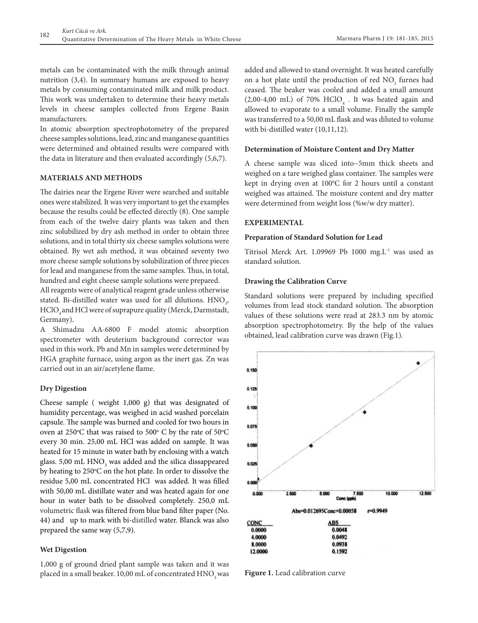metals can be contaminated with the milk through animal nutrition (3,4). In summary humans are exposed to heavy metals by consuming contaminated milk and milk product. This work was undertaken to determine their heavy metals levels in cheese samples collected from Ergene Basin manufacturers.

In atomic absorption spectrophotometry of the prepared cheese samples solutions, lead, zinc and manganese quantities were determined and obtained results were compared with the data in literature and then evaluated accordingly (5,6,7).

## **MATERIALS AND METHODS**

The dairies near the Ergene River were searched and suitable ones were stabilized. It was very important to get the examples because the results could be effected directly (8). One sample from each of the twelve dairy plants was taken and then zinc solubilized by dry ash method in order to obtain three solutions, and in total thirty six cheese samples solutions were obtained. By wet ash method, it was obtained seventy two more cheese sample solutions by solubilization of three pieces for lead and manganese from the same samples. Thus, in total, hundred and eight cheese sample solutions were prepared.

All reagents were of analytical reagent grade unless otherwise stated. Bi-distilled water was used for all dilutions.  $\text{HNO}_{\text{3}}$ , HClO<sub>4</sub> and HCl were of suprapure quality (Merck, Darmstadt, Germany).

A Shimadzu AA-6800 F model atomic absorption spectrometer with deuterium background corrector was used in this work. Pb and Mn in samples were determined by HGA graphite furnace, using argon as the inert gas. Zn was carried out in an air/acetylene flame.

## **Dry Digestion**

Cheese sample ( weight 1,000 g) that was designated of humidity percentage, was weighed in acid washed porcelain capsule. The sample was burned and cooled for two hours in oven at 250°C that was raised to 500° C by the rate of 50°C every 30 min. 25,00 mL HCl was added on sample. It was heated for 15 minute in water bath by enclosing with a watch glass. 5,00 mL  $\rm HNO_{_3}$  was added and the silica dissappeared by heating to 250°C on the hot plate. In order to dissolve the residue 5,00 mL concentrated HCl was added. It was filled with 50,00 mL distillate water and was heated again for one hour in water bath to be dissolved completely. 250,0 mL volumetric flask was filtered from blue band filter paper (No. 44) and up to mark with bi-distilled water. Blanck was also prepared the same way (5,7,9).

#### **Wet Digestion**

1,000 g of ground dried plant sample was taken and it was placed in a small beaker.  $10,00$  mL of concentrated  $HNO<sub>3</sub>$  was added and allowed to stand overnight. It was heated carefully on a hot plate until the production of red  $NO_2$  furnes had ceased. The beaker was cooled and added a small amount  $(2,00-4,00$  mL) of 70%  $HClO<sub>4</sub>$ . It was heated again and allowed to evaporate to a small volume. Finally the sample was transferred to a 50,00 mL flask and was diluted to volume with bi-distilled water (10,11,12).

#### **Determination of Moisture Content and Dry Matter**

A cheese sample was sliced into~5mm thick sheets and weighed on a tare weighed glass container. The samples were kept in drying oven at 100°C for 2 hours until a constant weighed was attained. The moisture content and dry matter were determined from weight loss (%w/w dry matter).

#### **EXPERIMENTAL**

#### **Preparation of Standard Solution for Lead**

Titrisol Merck Art. 1.09969 Pb 1000 mg.L<sup>-1</sup> was used as standard solution.

## **Drawing the Calibration Curve**

Standard solutions were prepared by including specified volumes from lead stock standard solution. The absorption values of these solutions were read at 283.3 nm by atomic absorption spectrophotometry. By the help of the values obtained, lead calibration curve was drawn (Fig.1).



**Figure 1.** Lead calibration curve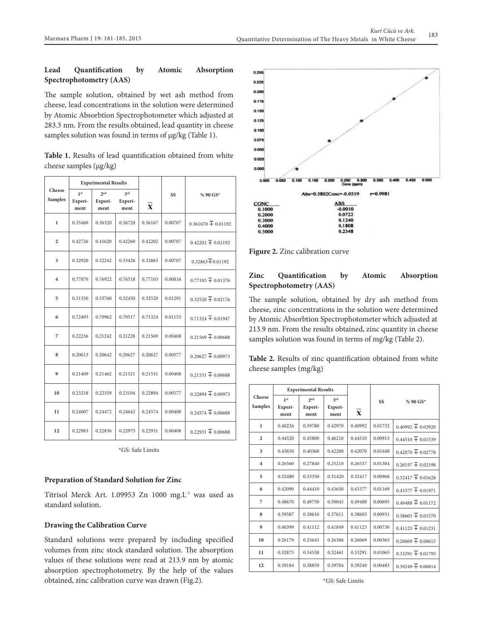## **Lead Quantification by Atomic Absorption Spectrophotometry (AAS)**

The sample solution, obtained by wet ash method from cheese, lead concentrations in the solution were determined by Atomic Absorbtion Spectrophotometer which adjusted at 283.3 nm. From the results obtained, lead quantity in cheese samples solution was found in terms of  $\mu$ g/kg (Table 1).

**Table 1.** Results of lead quantification obtained from white cheese samples (μg/kg)

| Cheese<br><b>Samples</b> | <b>Experimental Results</b>        |                                    |                        |                         |         |                        |
|--------------------------|------------------------------------|------------------------------------|------------------------|-------------------------|---------|------------------------|
|                          | 1 <sup>st</sup><br>Experi-<br>ment | 2 <sub>nd</sub><br>Experi-<br>ment | 2rd<br>Experi-<br>ment | $\overline{\mathbf{X}}$ | SS      | % 90 GS*               |
| $\mathbf{I}$             | 0.35460                            | 0.36320                            | 0.36720                | 0.36167                 | 0.00707 | $0.361670 \pm 0.01192$ |
| $\overline{2}$           | 0.42726                            | 0.41620                            | 0.42260                | 0.42202                 | 0.00707 | $0.42202 \pm 0.01192$  |
| 3                        | 0.32920                            | 0.32242                            | 0.33426                | 0.32863                 | 0.00707 | $0.32863 + 0.01192$    |
| $\overline{\mathbf{4}}$  | 0.77870                            | 0.76922                            | 0.76518                | 0.77103                 | 0.00816 | $0.77103 \pm 0.01376$  |
| 5                        | 0.31350                            | 0.33760                            | 0.32450                | 0.32520                 | 0.01291 | $0.32520 \pm 0.02176$  |
| 6                        | 0.72493                            | 0.70962                            | 0.70517                | 0.71324                 | 0.01155 | $0.71324 \pm 0.01947$  |
| 7                        | 0.22236                            | 0.21242                            | 0.21228                | 0.21569                 | 0.00408 | $0.21569 \pm 0.00688$  |
| 8                        | 0.20613                            | 0.20642                            | 0.20627                | 0.20627                 | 0.00577 | $0.20627 \pm 0.00973$  |
| 9                        | 0.21409                            | 0.21462                            | 0.21521                | 0.21531                 | 0.00408 | $0.21531 \pm 0.00688$  |
| 10                       | 0.23218                            | 0.22359                            | 0.23104                | 0.22894                 | 0.00577 | $0.22894 \pm 0.00973$  |
| 11                       | 0.24607                            | 0.24472                            | 0.24642                | 0.24574                 | 0.00408 | $0.24574 \pm 0.00688$  |
| 12                       | 0.22983                            | 0.22836                            | 0.22975                | 0.22931                 | 0.00408 | $0.22931 + 0.00688$    |

\*GS: Safe Limits

## **Preparation of Standard Solution for Zinc**

Titrisol Merck Art. 1.09953 Zn 1000 mg.L-1 was used as standard solution.

## **Drawing the Calibration Curve**

Standard solutions were prepared by including specified volumes from zinc stock standard solution. The absorption values of these solutions were read at 213.9 nm by atomic absorption spectrophotometry. By the help of the values obtained, zinc calibration curve was drawn (Fig.2).



**Figure 2.** Zinc calibration curve

## **Zinc Quantification by Atomic Absorption Spectrophotometry (AAS)**

The sample solution, obtained by dry ash method from cheese, zinc concentrations in the solution were determined by Atomic Absorbtion Spectrophotometer which adjusted at 213.9 nm. From the results obtained, zinc quantity in cheese samples solution was found in terms of mg/kg (Table 2).

**Table 2.** Results of zinc quantification obtained from white cheese samples (mg/kg)

|                         | <b>Experimental Results</b> |                 |                 |              |         |                       |
|-------------------------|-----------------------------|-----------------|-----------------|--------------|---------|-----------------------|
| Cheese                  | 1 <sup>st</sup>             | $2n$ d          | 2rd             |              | SS      | % 90 GS*              |
| <b>Samples</b>          | Experi-<br>ment             | Experi-<br>ment | Experi-<br>ment | $\mathbf{X}$ |         |                       |
| 1                       | 0.40226                     | 0.39780         | 0.42970         | 0.40992      | 0.01732 | $0.40992 \pm 0.02920$ |
| $\overline{2}$          | 0.44520                     | 0.45800         | 0.46210         | 0.44510      | 0.00913 | $0.44510 \pm 0.01539$ |
| 3                       | 0.43650                     | 0.40360         | 0.42200         | 0.42070      | 0.01648 | $0.42070 \pm 0.02778$ |
| $\overline{\mathbf{4}}$ | 0.26560                     | 0.27840         | 0.25210         | 0.26537      | 0.01304 | $0.26537 \pm 0.02198$ |
| 5                       | 0.32480                     | 0.33350         | 0.31420         | 0.32417      | 0.00966 | $0.32417 \pm 0.01628$ |
| 6                       | 0.42090                     | 0.44410         | 0.43630         | 0.43377      | 0.01169 | $0.43377 \pm 0.01971$ |
| 7                       | 0.48670                     | 0.49750         | 0.50045         | 0.49488      | 0.00695 | $0.49488 \pm 0.01172$ |
| 8                       | 0.39587                     | 0.38610         | 0.37611         | 0.38603      | 0.00931 | $0.38603 \pm 0.01570$ |
| $\boldsymbol{9}$        | 0.40399                     | 0.41112         | 0.41849         | 0.41123      | 0.00730 | $0.41123 \pm 0.01231$ |
| 10                      | 0.26179                     | 0.25643         | 0.26386         | 0.26069      | 0.00365 | $0.26069 \pm 0.00615$ |
| 11                      | 0.32875                     | 0.34538         | 0.32461         | 0.33291      | 0.01065 | $0.33291 \pm 0.01795$ |
| 12                      | 0.39184                     | 0.38859         | 0.39704         | 0.39249      | 0.00483 | $0.39249 \pm 0.00814$ |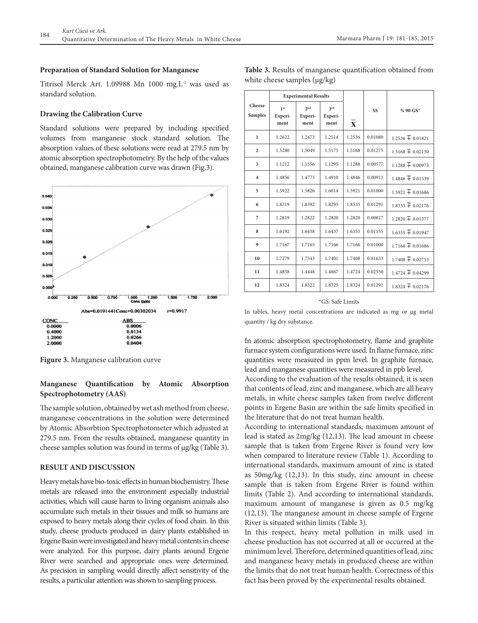#### **Preparation of Standard Solution for Manganese**

Titrisol Merck Art. 1.09988 Mn 1000 mg.L<sup>1</sup> was used as standard solution.

#### **Drawing the Calibration Curve**

Standard solutions were prepared by including specified volumes from manganese stock standard solution. The absorption values of these solutions were read at 279.5 nm by atomic absorption spectrophotometry. By the help of the values obtained, manganese calibration curve was drawn (Fig.3).



**Figure 3.** Manganese calibration curve

## **Manganese Quantification by Atomic Absorption Spectrophotometry (AAS)**

The sample solution, obtained by wet ash method from cheese, manganese concentrations in the solution were determined by Atomic Absorbtion Spectrophotometer which adjusted at 279.5 nm. From the results obtained, manganese quantity in cheese samples solution was found in terms of  $\mu$ g/kg (Table 3).

## **RESULT AND DISCUSSION**

Heavy metals have bio-toxic effects in human biochemistry. These metals are released into the environment especially industrial activities, which will cause harm to living organism animals also accumulate such metals in their tissues and milk so humans are exposed to heavy metals along their cycles of food chain. In this study, cheese products produced in dairy plants established in Ergene Basin were investigated and heavy metal contents in cheese were analyzed. For this purpose, dairy plants around Ergene River were searched and appropriate ones were determined. As precision in sampling would directly affect sensitivity of the results, a particular attention was shown to sampling process.

|                          | <b>Experimental Results</b>        |                           |                        |              |           |                      |
|--------------------------|------------------------------------|---------------------------|------------------------|--------------|-----------|----------------------|
| Cheese<br><b>Samples</b> | 1 <sup>st</sup><br>Experi-<br>ment | $2n$ d<br>Experi-<br>ment | 3rd<br>Experi-<br>ment | $\mathbf{x}$ | <b>SS</b> | % 90 GS*             |
| $\mathbf{I}$             | 1.2622                             | 1.2473                    | 1.2514                 | 1.2536       | 0.01080   | $1.2536 \pm 0.01821$ |
| $\overline{2}$           | 1.5280                             | 1.5049                    | 1.5175                 | 1.5168       | 0.01275   | $1.5168 \pm 0.02150$ |
| 3                        | 1.1212                             | 1.1356                    | 1.1295                 | 1.1288       | 0.00577   | $1.1288 \pm 0.00973$ |
| $\overline{4}$           | 1.4856                             | 1.4773                    | 1.4910                 | 1.4846       | 0.00913   | $1.4846 \pm 0.01539$ |
| 5                        | 1.5922                             | 1.5826                    | 1.6014                 | 1.5921       | 0.01000   | $1.5921 \pm 0.01686$ |
| 6                        | 1.8319                             | 1.8392                    | 1.8295                 | 1.8335       | 0.01291   | $1.8335 \pm 0.02176$ |
| 7                        | 1.2819                             | 1.2822                    | 1.2820                 | 1.2820       | 0.00817   | $1.2820 \pm 0.01377$ |
| 8                        | 1.6192                             | 1.6438                    | 1.6437                 | 1.6355       | 0.01155   | $1.6355 + 0.01947$   |
| 9                        | 1.7167                             | 1.7165                    | 1.7166                 | 1.7166       | 0.01000   | $1.7166 \pm 0.01686$ |
| 10                       | 1.7279                             | 1.7543                    | 1.7401                 | 1.7408       | 0.01633   | $1.7408 \pm 0.02753$ |
| 11                       | 1.4858                             | 1.4448                    | 1.4867                 | 1.4724       | 0.02550   | $1.4724 \pm 0.04299$ |
| 12                       | 1.8324                             | 1.8322                    | 1.8325                 | 1.8324       | 0.01291   | $1.8324 \pm 0.02176$ |

**Table 3.** Results of manganese quantification obtained from white cheese samples (μg/kg)

#### \*GS: Safe Limits

In tables, heavy metal concentrations are indicated as mg or µg metal quantity / kg dry substance.

In atomic absorption spectrophotometry, flame and graphite furnace system configurations were used. In flame furnace, zinc quantities were measured in ppm level. In graphite furnace, lead and manganese quantities were measured in ppb level.

According to the evaluation of the results obtained, it is seen that contents of lead, zinc and manganese, which are all heavy metals, in white cheese samples taken from twelve different points in Ergene Basin are within the safe limits specified in the literature that do not treat human health.

According to international standards, maximum amount of lead is stated as 2mg/kg (12,13). The lead amount in cheese sample that is taken from Ergene River is found very low when compared to literature review (Table 1). According to international standards, maximum amount of zinc is stated as 50mg/kg (12,13). In this study, zinc amount in cheese sample that is taken from Ergene River is found within limits (Table 2). And according to international standards, maximum amount of manganese is given as 0.5 mg/kg (12,13). The manganese amount in cheese sample of Ergene River is situated within limits (Table 3).

In this respect, heavy metal pollution in milk used in cheese production has not occurred at all or occurred at the minimum level. Therefore, determined quantities of lead, zinc and manganese heavy metals in produced cheese are within the limits that do not treat human health. Correctness of this fact has been proved by the experimental results obtained.